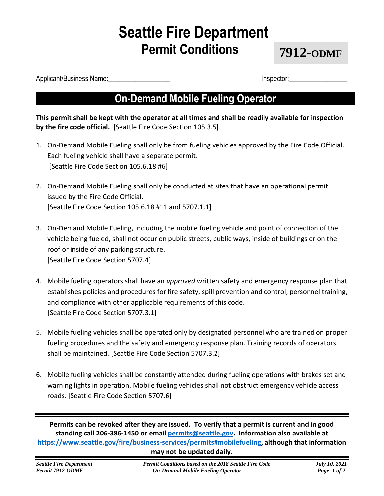# **Seattle Fire Department Permit Conditions**

**7912-ODMF**

Applicant/Business Name: etc. and the set of the set of the set of the set of the set of the set of the set of the set of the set of the set of the set of the set of the set of the set of the set of the set of the set of t

### **On-Demand Mobile Fueling Operator**

**This permit shall be kept with the operator at all times and shall be readily available for inspection by the fire code official.** [Seattle Fire Code Section 105.3.5]

- 1. On-Demand Mobile Fueling shall only be from fueling vehicles approved by the Fire Code Official. Each fueling vehicle shall have a separate permit. [Seattle Fire Code Section 105.6.18 #6]
- 2. On-Demand Mobile Fueling shall only be conducted at sites that have an operational permit issued by the Fire Code Official. [Seattle Fire Code Section 105.6.18 #11 and 5707.1.1]
- 3. On-Demand Mobile Fueling, including the mobile fueling vehicle and point of connection of the vehicle being fueled, shall not occur on public streets, public ways, inside of buildings or on the roof or inside of any parking structure. [Seattle Fire Code Section 5707.4]
- 4. Mobile fueling operators shall have an *approved* written safety and emergency response plan that establishes policies and procedures for fire safety, spill prevention and control, personnel training, and compliance with other applicable requirements of this code. [Seattle Fire Code Section 5707.3.1]
- 5. Mobile fueling vehicles shall be operated only by designated personnel who are trained on proper fueling procedures and the safety and emergency response plan. Training records of operators shall be maintained. [Seattle Fire Code Section 5707.3.2]
- 6. Mobile fueling vehicles shall be constantly attended during fueling operations with brakes set and warning lights in operation. Mobile fueling vehicles shall not obstruct emergency vehicle access roads. [Seattle Fire Code Section 5707.6]

**Permits can be revoked after they are issued. To verify that a permit is current and in good standing call 206-386-1450 or email [permits@seattle.gov.](mailto:permits@seattle.gov) Information also available at [https://www.seattle.gov/fire/business-services/permits#mobilefueling,](https://www.seattle.gov/fire/business-services/permits#mobilefueling) although that information may not be updated daily.**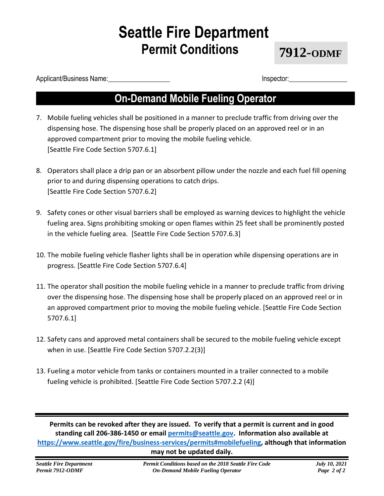# **Seattle Fire Department Permit Conditions**

**7912-ODMF**

Applicant/Business Name: etc. and the set of the set of the set of the set of the set of the set of the set of the set of the set of the set of the set of the set of the set of the set of the set of the set of the set of t

### **On-Demand Mobile Fueling Operator**

- 7. Mobile fueling vehicles shall be positioned in a manner to preclude traffic from driving over the dispensing hose. The dispensing hose shall be properly placed on an approved reel or in an approved compartment prior to moving the mobile fueling vehicle. [Seattle Fire Code Section 5707.6.1]
- 8. Operators shall place a drip pan or an absorbent pillow under the nozzle and each fuel fill opening prior to and during dispensing operations to catch drips. [Seattle Fire Code Section 5707.6.2]
- 9. Safety cones or other visual barriers shall be employed as warning devices to highlight the vehicle fueling area. Signs prohibiting smoking or open flames within 25 feet shall be prominently posted in the vehicle fueling area. [Seattle Fire Code Section 5707.6.3]
- 10. The mobile fueling vehicle flasher lights shall be in operation while dispensing operations are in progress. [Seattle Fire Code Section 5707.6.4]
- 11. The operator shall position the mobile fueling vehicle in a manner to preclude traffic from driving over the dispensing hose. The dispensing hose shall be properly placed on an approved reel or in an approved compartment prior to moving the mobile fueling vehicle. [Seattle Fire Code Section 5707.6.1]
- 12. Safety cans and approved metal containers shall be secured to the mobile fueling vehicle except when in use. [Seattle Fire Code Section 5707.2.2(3)]
- 13. Fueling a motor vehicle from tanks or containers mounted in a trailer connected to a mobile fueling vehicle is prohibited. [Seattle Fire Code Section 5707.2.2 (4)]

**Permits can be revoked after they are issued. To verify that a permit is current and in good standing call 206-386-1450 or email [permits@seattle.gov.](mailto:permits@seattle.gov) Information also available at [https://www.seattle.gov/fire/business-services/permits#mobilefueling,](https://www.seattle.gov/fire/business-services/permits#mobilefueling) although that information may not be updated daily.**